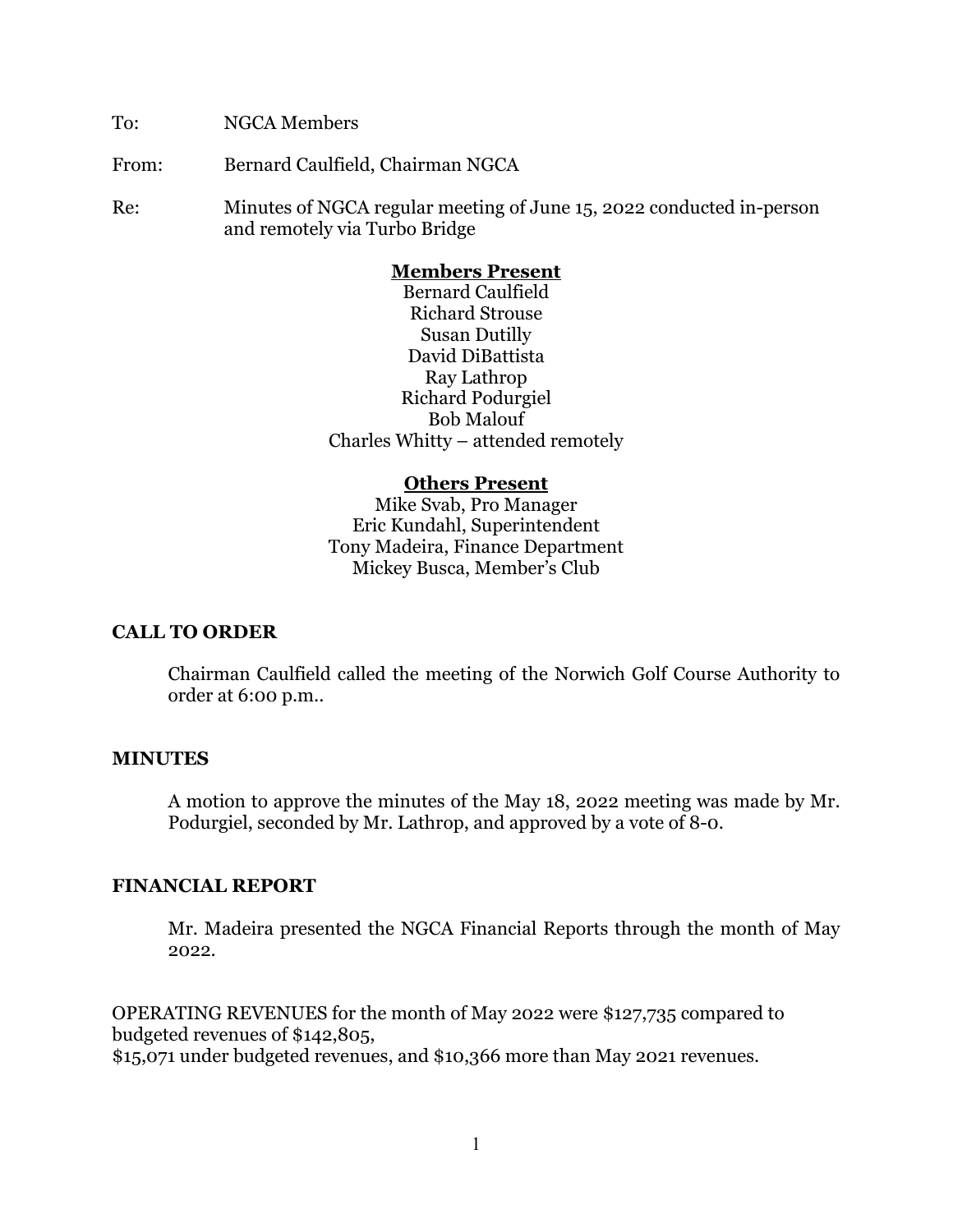To: NGCA Members

From: Bernard Caulfield, Chairman NGCA

Re: Minutes of NGCA regular meeting of June 15, 2022 conducted in-person and remotely via Turbo Bridge

### **Members Present**

Bernard Caulfield Richard Strouse Susan Dutilly David DiBattista Ray Lathrop Richard Podurgiel Bob Malouf Charles Whitty – attended remotely

#### **Others Present**

Mike Svab, Pro Manager Eric Kundahl, Superintendent Tony Madeira, Finance Department Mickey Busca, Member's Club

## **CALL TO ORDER**

Chairman Caulfield called the meeting of the Norwich Golf Course Authority to order at 6:00 p.m..

#### **MINUTES**

A motion to approve the minutes of the May 18, 2022 meeting was made by Mr. Podurgiel, seconded by Mr. Lathrop, and approved by a vote of 8-0.

## **FINANCIAL REPORT**

Mr. Madeira presented the NGCA Financial Reports through the month of May 2022.

OPERATING REVENUES for the month of May 2022 were \$127,735 compared to budgeted revenues of \$142,805,

\$15,071 under budgeted revenues, and \$10,366 more than May 2021 revenues.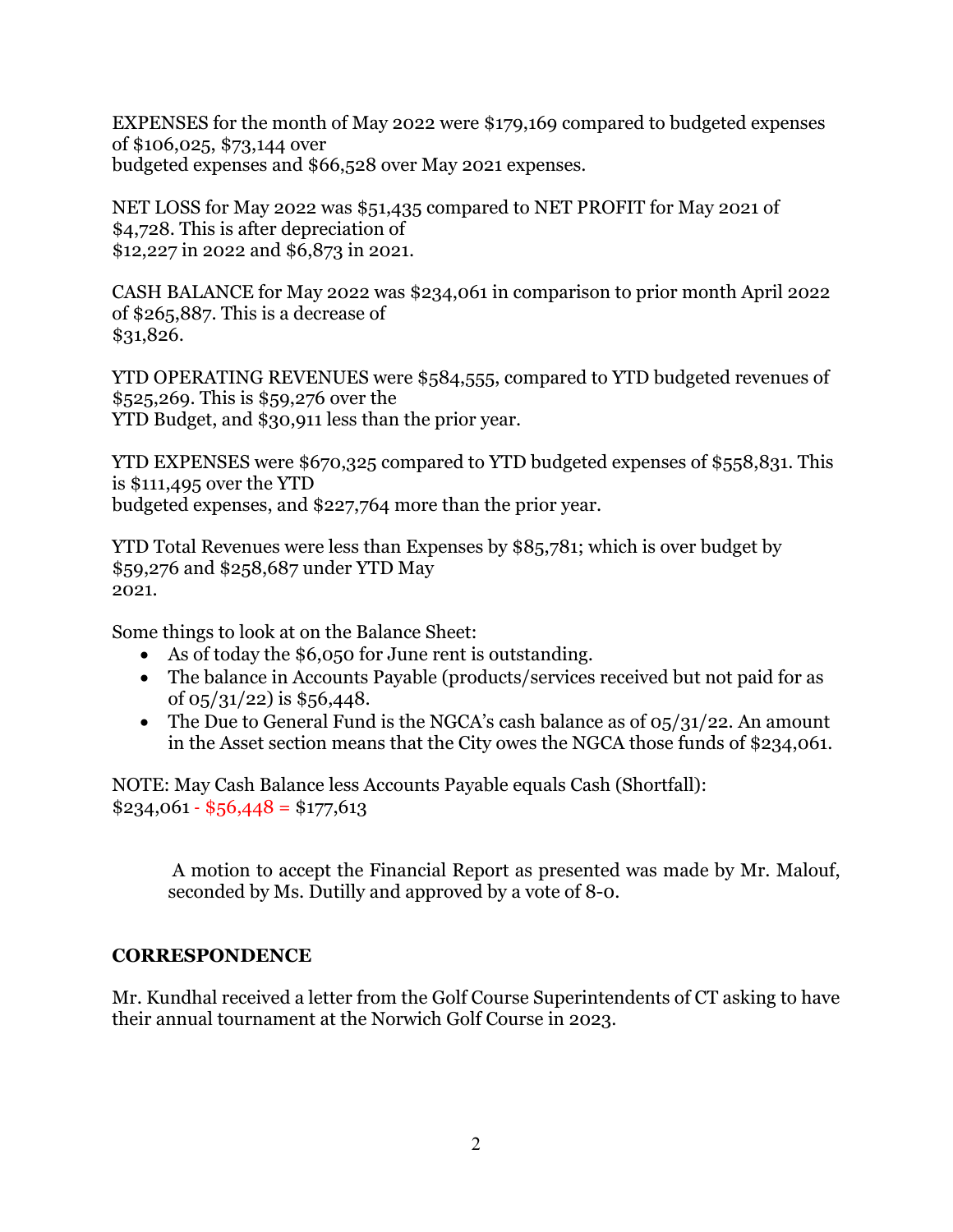EXPENSES for the month of May 2022 were \$179,169 compared to budgeted expenses of \$106,025, \$73,144 over budgeted expenses and \$66,528 over May 2021 expenses.

NET LOSS for May 2022 was \$51,435 compared to NET PROFIT for May 2021 of \$4,728. This is after depreciation of \$12,227 in 2022 and \$6,873 in 2021.

CASH BALANCE for May 2022 was \$234,061 in comparison to prior month April 2022 of \$265,887. This is a decrease of \$31,826.

YTD OPERATING REVENUES were \$584,555, compared to YTD budgeted revenues of \$525,269. This is \$59,276 over the YTD Budget, and \$30,911 less than the prior year.

YTD EXPENSES were \$670,325 compared to YTD budgeted expenses of \$558,831. This is \$111,495 over the YTD budgeted expenses, and \$227,764 more than the prior year.

YTD Total Revenues were less than Expenses by \$85,781; which is over budget by \$59,276 and \$258,687 under YTD May 2021.

Some things to look at on the Balance Sheet:

- As of today the \$6,050 for June rent is outstanding.
- The balance in Accounts Payable (products/services received but not paid for as of  $0.5/31/22$  is \$56,448.
- The Due to General Fund is the NGCA's cash balance as of  $0.5/31/22$ . An amount in the Asset section means that the City owes the NGCA those funds of \$234,061.

NOTE: May Cash Balance less Accounts Payable equals Cash (Shortfall):  $$234,061 \cdot $56,448 = $177,613$ 

 A motion to accept the Financial Report as presented was made by Mr. Malouf, seconded by Ms. Dutilly and approved by a vote of 8-0.

## **CORRESPONDENCE**

Mr. Kundhal received a letter from the Golf Course Superintendents of CT asking to have their annual tournament at the Norwich Golf Course in 2023.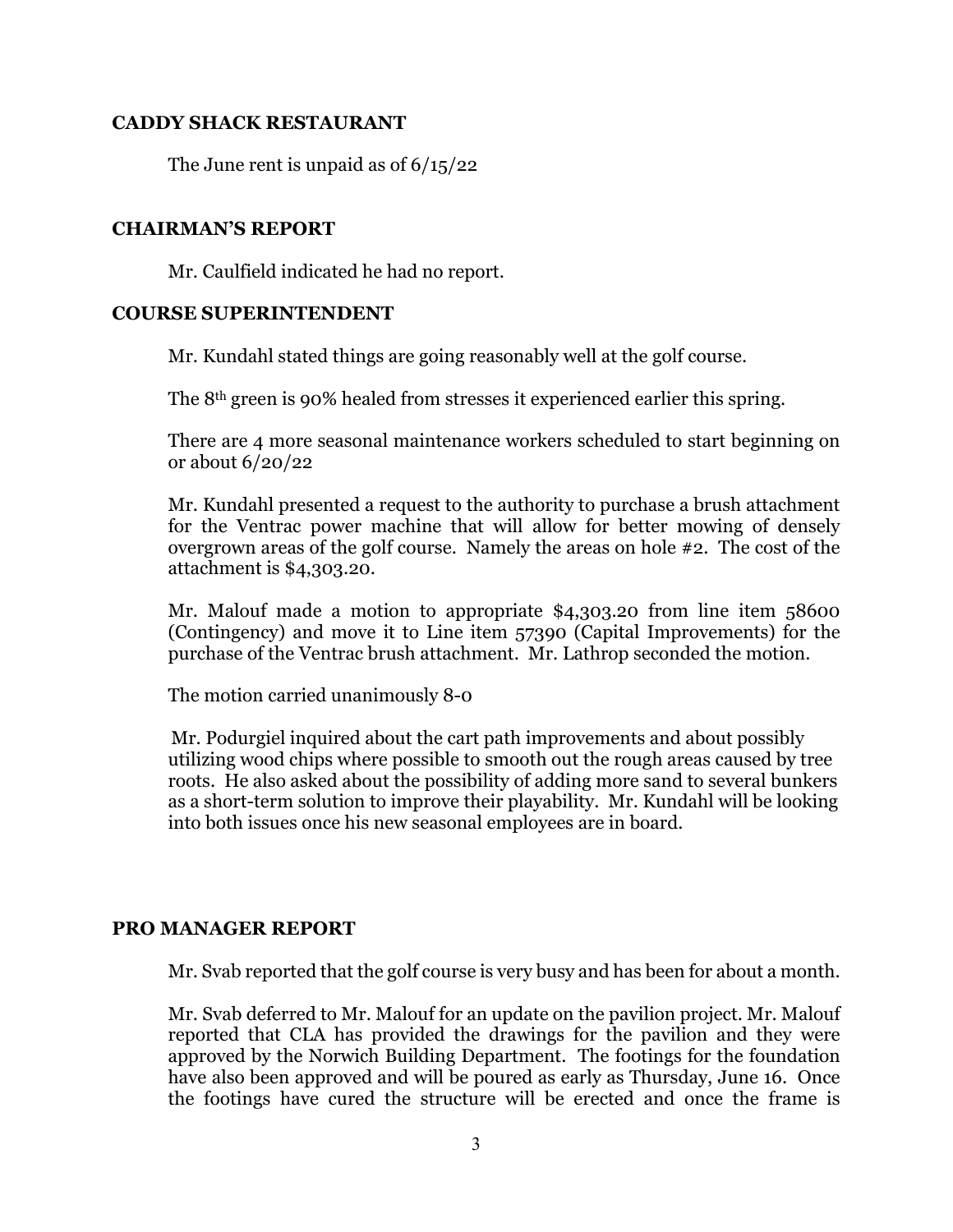## **CADDY SHACK RESTAURANT**

The June rent is unpaid as of 6/15/22

### **CHAIRMAN'S REPORT**

Mr. Caulfield indicated he had no report.

### **COURSE SUPERINTENDENT**

Mr. Kundahl stated things are going reasonably well at the golf course.

The 8th green is 90% healed from stresses it experienced earlier this spring.

There are 4 more seasonal maintenance workers scheduled to start beginning on or about 6/20/22

Mr. Kundahl presented a request to the authority to purchase a brush attachment for the Ventrac power machine that will allow for better mowing of densely overgrown areas of the golf course. Namely the areas on hole #2. The cost of the attachment is \$4,303.20.

Mr. Malouf made a motion to appropriate \$4,303.20 from line item 58600 (Contingency) and move it to Line item 57390 (Capital Improvements) for the purchase of the Ventrac brush attachment. Mr. Lathrop seconded the motion.

The motion carried unanimously 8-0

Mr. Podurgiel inquired about the cart path improvements and about possibly utilizing wood chips where possible to smooth out the rough areas caused by tree roots. He also asked about the possibility of adding more sand to several bunkers as a short-term solution to improve their playability. Mr. Kundahl will be looking into both issues once his new seasonal employees are in board.

## **PRO MANAGER REPORT**

Mr. Svab reported that the golf course is very busy and has been for about a month.

Mr. Svab deferred to Mr. Malouf for an update on the pavilion project. Mr. Malouf reported that CLA has provided the drawings for the pavilion and they were approved by the Norwich Building Department. The footings for the foundation have also been approved and will be poured as early as Thursday, June 16. Once the footings have cured the structure will be erected and once the frame is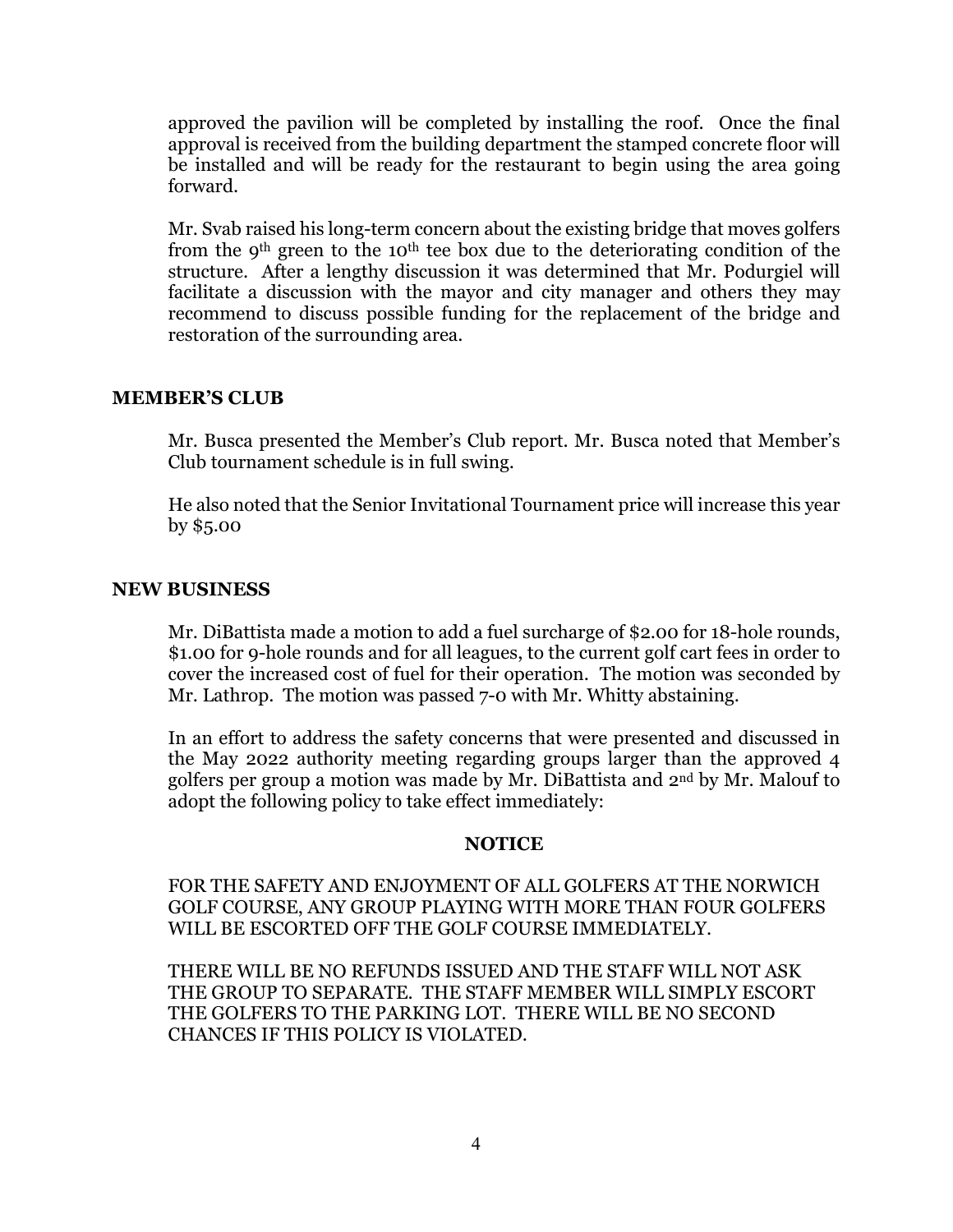approved the pavilion will be completed by installing the roof. Once the final approval is received from the building department the stamped concrete floor will be installed and will be ready for the restaurant to begin using the area going forward.

Mr. Svab raised his long-term concern about the existing bridge that moves golfers from the 9th green to the 10th tee box due to the deteriorating condition of the structure. After a lengthy discussion it was determined that Mr. Podurgiel will facilitate a discussion with the mayor and city manager and others they may recommend to discuss possible funding for the replacement of the bridge and restoration of the surrounding area.

### **MEMBER'S CLUB**

Mr. Busca presented the Member's Club report. Mr. Busca noted that Member's Club tournament schedule is in full swing.

He also noted that the Senior Invitational Tournament price will increase this year by \$5.00

### **NEW BUSINESS**

Mr. DiBattista made a motion to add a fuel surcharge of \$2.00 for 18-hole rounds, \$1.00 for 9-hole rounds and for all leagues, to the current golf cart fees in order to cover the increased cost of fuel for their operation. The motion was seconded by Mr. Lathrop. The motion was passed 7-0 with Mr. Whitty abstaining.

In an effort to address the safety concerns that were presented and discussed in the May 2022 authority meeting regarding groups larger than the approved 4 golfers per group a motion was made by Mr. DiBattista and 2nd by Mr. Malouf to adopt the following policy to take effect immediately:

#### **NOTICE**

FOR THE SAFETY AND ENJOYMENT OF ALL GOLFERS AT THE NORWICH GOLF COURSE, ANY GROUP PLAYING WITH MORE THAN FOUR GOLFERS WILL BE ESCORTED OFF THE GOLF COURSE IMMEDIATELY.

THERE WILL BE NO REFUNDS ISSUED AND THE STAFF WILL NOT ASK THE GROUP TO SEPARATE. THE STAFF MEMBER WILL SIMPLY ESCORT THE GOLFERS TO THE PARKING LOT. THERE WILL BE NO SECOND CHANCES IF THIS POLICY IS VIOLATED.